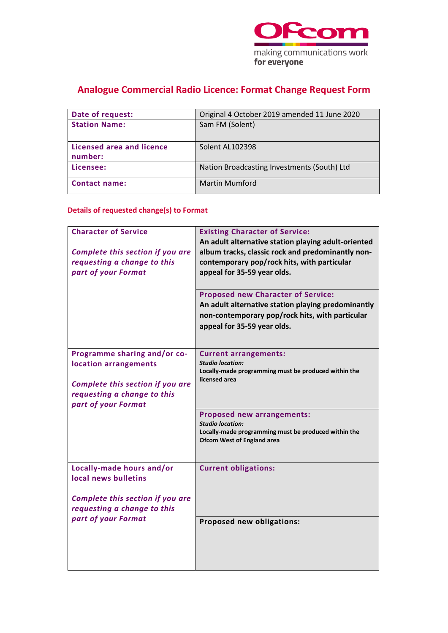

## **Analogue Commercial Radio Licence: Format Change Request Form**

| Date of request:                            | Original 4 October 2019 amended 11 June 2020 |
|---------------------------------------------|----------------------------------------------|
| <b>Station Name:</b>                        | Sam FM (Solent)                              |
| <b>Licensed area and licence</b><br>number: | Solent AL102398                              |
| Licensee:                                   | Nation Broadcasting Investments (South) Ltd  |
| <b>Contact name:</b>                        | <b>Martin Mumford</b>                        |

## **Details of requested change(s) to Format**

| <b>Character of Service</b><br>Complete this section if you are<br>requesting a change to this<br>part of your Format                           | <b>Existing Character of Service:</b><br>An adult alternative station playing adult-oriented<br>album tracks, classic rock and predominantly non-<br>contemporary pop/rock hits, with particular<br>appeal for 35-59 year olds. |
|-------------------------------------------------------------------------------------------------------------------------------------------------|---------------------------------------------------------------------------------------------------------------------------------------------------------------------------------------------------------------------------------|
|                                                                                                                                                 | <b>Proposed new Character of Service:</b><br>An adult alternative station playing predominantly<br>non-contemporary pop/rock hits, with particular<br>appeal for 35-59 year olds.                                               |
| Programme sharing and/or co-<br>location arrangements<br>Complete this section if you are<br>requesting a change to this<br>part of your Format | <b>Current arrangements:</b><br><b>Studio location:</b><br>Locally-made programming must be produced within the<br>licensed area                                                                                                |
|                                                                                                                                                 | <b>Proposed new arrangements:</b><br><b>Studio location:</b><br>Locally-made programming must be produced within the<br><b>Ofcom West of England area</b>                                                                       |
| Locally-made hours and/or<br>local news bulletins<br>Complete this section if you are<br>requesting a change to this                            | <b>Current obligations:</b>                                                                                                                                                                                                     |
| part of your Format                                                                                                                             | Proposed new obligations:                                                                                                                                                                                                       |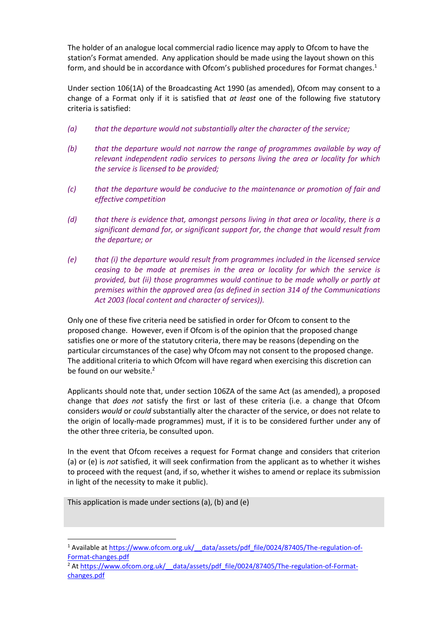The holder of an analogue local commercial radio licence may apply to Ofcom to have the station's Format amended. Any application should be made using the layout shown on this form, and should be in accordance with Ofcom's published procedures for Format changes. 1

Under section 106(1A) of the Broadcasting Act 1990 (as amended), Ofcom may consent to a change of a Format only if it is satisfied that *at least* one of the following five statutory criteria is satisfied:

- *(a) that the departure would not substantially alter the character of the service;*
- *(b) that the departure would not narrow the range of programmes available by way of relevant independent radio services to persons living the area or locality for which the service is licensed to be provided;*
- *(c) that the departure would be conducive to the maintenance or promotion of fair and effective competition*
- *(d) that there is evidence that, amongst persons living in that area or locality, there is a significant demand for, or significant support for, the change that would result from the departure; or*
- *(e) that (i) the departure would result from programmes included in the licensed service ceasing to be made at premises in the area or locality for which the service is provided, but (ii) those programmes would continue to be made wholly or partly at premises within the approved area (as defined in section 314 of the Communications Act 2003 (local content and character of services)).*

Only one of these five criteria need be satisfied in order for Ofcom to consent to the proposed change. However, even if Ofcom is of the opinion that the proposed change satisfies one or more of the statutory criteria, there may be reasons (depending on the particular circumstances of the case) why Ofcom may not consent to the proposed change. The additional criteria to which Ofcom will have regard when exercising this discretion can be found on our website.<sup>2</sup>

Applicants should note that, under section 106ZA of the same Act (as amended), a proposed change that *does not* satisfy the first or last of these criteria (i.e. a change that Ofcom considers *would* or *could* substantially alter the character of the service, or does not relate to the origin of locally-made programmes) must, if it is to be considered further under any of the other three criteria, be consulted upon.

In the event that Ofcom receives a request for Format change and considers that criterion (a) or (e) is *not* satisfied, it will seek confirmation from the applicant as to whether it wishes to proceed with the request (and, if so, whether it wishes to amend or replace its submission in light of the necessity to make it public).

This application is made under sections (a), (b) and (e)

<sup>&</sup>lt;sup>1</sup> Available at https://www.ofcom.org.uk/ data/assets/pdf file/0024/87405/The-regulation-of-[Format-changes.pdf](https://www.ofcom.org.uk/__data/assets/pdf_file/0024/87405/The-regulation-of-Format-changes.pdf)

<sup>&</sup>lt;sup>2</sup> At https://www.ofcom.org.uk/ data/assets/pdf\_file/0024/87405/The-regulation-of-Format[changes.pdf](https://www.ofcom.org.uk/__data/assets/pdf_file/0024/87405/The-regulation-of-Format-changes.pdf)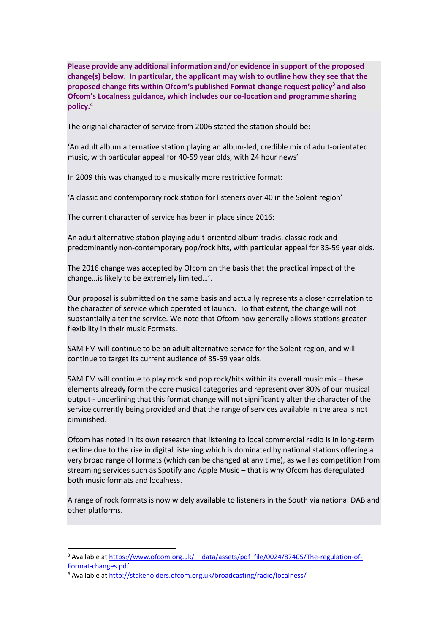**Please provide any additional information and/or evidence in support of the proposed change(s) below. In particular, the applicant may wish to outline how they see that the proposed change fits within Ofcom's published Format change request policy<sup>3</sup> and also Ofcom's Localness guidance, which includes our co-location and programme sharing policy. 4**

The original character of service from 2006 stated the station should be:

'An adult album alternative station playing an album-led, credible mix of adult-orientated music, with particular appeal for 40-59 year olds, with 24 hour news'

In 2009 this was changed to a musically more restrictive format:

'A classic and contemporary rock station for listeners over 40 in the Solent region'

The current character of service has been in place since 2016:

An adult alternative station playing adult-oriented album tracks, classic rock and predominantly non-contemporary pop/rock hits, with particular appeal for 35-59 year olds.

The 2016 change was accepted by Ofcom on the basis that the practical impact of the change…is likely to be extremely limited…'.

Our proposal is submitted on the same basis and actually represents a closer correlation to the character of service which operated at launch. To that extent, the change will not substantially alter the service. We note that Ofcom now generally allows stations greater flexibility in their music Formats.

SAM FM will continue to be an adult alternative service for the Solent region, and will continue to target its current audience of 35-59 year olds.

SAM FM will continue to play rock and pop rock/hits within its overall music mix – these elements already form the core musical categories and represent over 80% of our musical output - underlining that this format change will not significantly alter the character of the service currently being provided and that the range of services available in the area is not diminished.

Ofcom has noted in its own research that listening to local commercial radio is in long-term decline due to the rise in digital listening which is dominated by national stations offering a very broad range of formats (which can be changed at any time), as well as competition from streaming services such as Spotify and Apple Music – that is why Ofcom has deregulated both music formats and localness.

A range of rock formats is now widely available to listeners in the South via national DAB and other platforms.

<sup>&</sup>lt;sup>3</sup> Available at https://www.ofcom.org.uk/ data/assets/pdf file/0024/87405/The-regulation-of-[Format-changes.pdf](https://www.ofcom.org.uk/__data/assets/pdf_file/0024/87405/The-regulation-of-Format-changes.pdf)

<sup>4</sup> Available at<http://stakeholders.ofcom.org.uk/broadcasting/radio/localness/>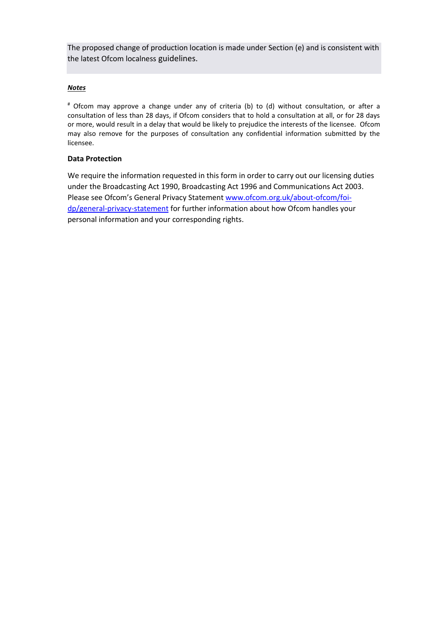The proposed change of production location is made under Section (e) and is consistent with the latest Ofcom localness guidelines.

#### *Notes*

# Ofcom may approve a change under any of criteria (b) to (d) without consultation, or after a consultation of less than 28 days, if Ofcom considers that to hold a consultation at all, or for 28 days or more, would result in a delay that would be likely to prejudice the interests of the licensee. Ofcom may also remove for the purposes of consultation any confidential information submitted by the licensee.

#### **Data Protection**

We require the information requested in this form in order to carry out our licensing duties under the Broadcasting Act 1990, Broadcasting Act 1996 and Communications Act 2003. Please see Ofcom's General Privacy Statement [www.ofcom.org.uk/about-ofcom/foi](http://www.ofcom.org.uk/about-ofcom/foi-dp/general-privacy-statement)[dp/general-privacy-statement](http://www.ofcom.org.uk/about-ofcom/foi-dp/general-privacy-statement) for further information about how Ofcom handles your personal information and your corresponding rights.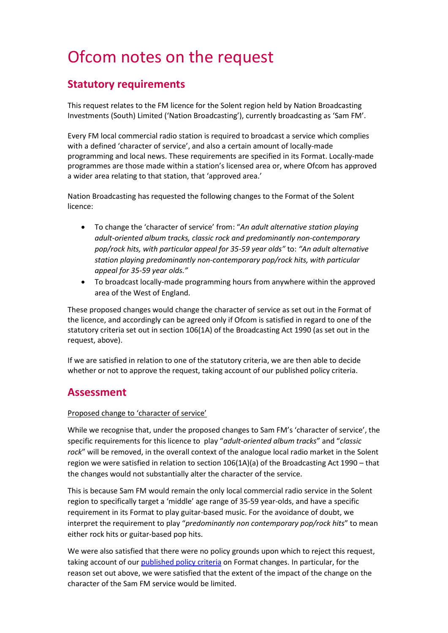# Ofcom notes on the request

## **Statutory requirements**

This request relates to the FM licence for the Solent region held by Nation Broadcasting Investments (South) Limited ('Nation Broadcasting'), currently broadcasting as 'Sam FM'.

Every FM local commercial radio station is required to broadcast a service which complies with a defined 'character of service', and also a certain amount of locally-made programming and local news. These requirements are specified in its Format. Locally-made programmes are those made within a station's licensed area or, where Ofcom has approved a wider area relating to that station, that 'approved area.'

Nation Broadcasting has requested the following changes to the Format of the Solent licence:

- To change the 'character of service' from: "*An adult alternative station playing adult-oriented album tracks, classic rock and predominantly non-contemporary pop/rock hits, with particular appeal for 35-59 year olds"* to: *"An adult alternative station playing predominantly non-contemporary pop/rock hits, with particular appeal for 35-59 year olds."*
- To broadcast locally-made programming hours from anywhere within the approved area of the West of England.

These proposed changes would change the character of service as set out in the Format of the licence, and accordingly can be agreed only if Ofcom is satisfied in regard to one of the statutory criteria set out in section 106(1A) of the Broadcasting Act 1990 (as set out in the request, above).

If we are satisfied in relation to one of the statutory criteria, we are then able to decide whether or not to approve the request, taking account of our published policy criteria.

## **Assessment**

## Proposed change to 'character of service'

While we recognise that, under the proposed changes to Sam FM's 'character of service', the specific requirements for this licence to play "*adult-oriented album tracks*" and "*classic rock*" will be removed, in the overall context of the analogue local radio market in the Solent region we were satisfied in relation to section 106(1A)(a) of the Broadcasting Act 1990 – that the changes would not substantially alter the character of the service.

This is because Sam FM would remain the only local commercial radio service in the Solent region to specifically target a 'middle' age range of 35-59 year-olds, and have a specific requirement in its Format to play guitar-based music. For the avoidance of doubt, we interpret the requirement to play "*predominantly non contemporary pop/rock hits*" to mean either rock hits or guitar-based pop hits.

We were also satisfied that there were no policy grounds upon which to reject this request, taking account of ou[r published policy criteria](https://www.ofcom.org.uk/__data/assets/pdf_file/0024/87405/The-regulation-of-Format-changes.pdf) on Format changes. In particular, for the reason set out above, we were satisfied that the extent of the impact of the change on the character of the Sam FM service would be limited.